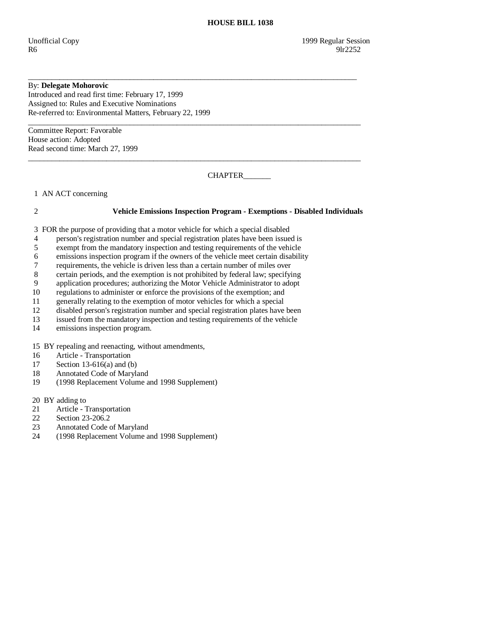# By: **Delegate Mohorovic**

Introduced and read first time: February 17, 1999 Assigned to: Rules and Executive Nominations Re-referred to: Environmental Matters, February 22, 1999

 $\_$  ,  $\_$  ,  $\_$  ,  $\_$  ,  $\_$  ,  $\_$  ,  $\_$  ,  $\_$  ,  $\_$  ,  $\_$  ,  $\_$  ,  $\_$  ,  $\_$  ,  $\_$  ,  $\_$  ,  $\_$  ,  $\_$  ,  $\_$  ,  $\_$  ,  $\_$  ,  $\_$  ,  $\_$  ,  $\_$  ,  $\_$  ,  $\_$  ,  $\_$  ,  $\_$  ,  $\_$  ,  $\_$  ,  $\_$  ,  $\_$  ,  $\_$  ,  $\_$  ,  $\_$  ,  $\_$  ,  $\_$  ,  $\_$  , Committee Report: Favorable House action: Adopted Read second time: March 27, 1999

CHAPTER\_\_\_\_\_\_\_\_

1 AN ACT concerning

## 2 **Vehicle Emissions Inspection Program - Exemptions - Disabled Individuals**

3 FOR the purpose of providing that a motor vehicle for which a special disabled

4 person's registration number and special registration plates have been issued is

\_\_\_\_\_\_\_\_\_\_\_\_\_\_\_\_\_\_\_\_\_\_\_\_\_\_\_\_\_\_\_\_\_\_\_\_\_\_\_\_\_\_\_\_\_\_\_\_\_\_\_\_\_\_\_\_\_\_\_\_\_\_\_\_\_\_\_\_\_\_\_\_\_\_\_\_\_\_\_\_\_\_\_\_

 $\_$  ,  $\_$  ,  $\_$  ,  $\_$  ,  $\_$  ,  $\_$  ,  $\_$  ,  $\_$  ,  $\_$  ,  $\_$  ,  $\_$  ,  $\_$  ,  $\_$  ,  $\_$  ,  $\_$  ,  $\_$  ,  $\_$  ,  $\_$  ,  $\_$  ,  $\_$  ,  $\_$  ,  $\_$  ,  $\_$  ,  $\_$  ,  $\_$  ,  $\_$  ,  $\_$  ,  $\_$  ,  $\_$  ,  $\_$  ,  $\_$  ,  $\_$  ,  $\_$  ,  $\_$  ,  $\_$  ,  $\_$  ,  $\_$  ,

- 5 exempt from the mandatory inspection and testing requirements of the vehicle
- 6 emissions inspection program if the owners of the vehicle meet certain disability
- 7 requirements, the vehicle is driven less than a certain number of miles over
- 8 certain periods, and the exemption is not prohibited by federal law; specifying<br>9 application procedures: authorizing the Motor Vehicle Administrator to adopt
- 9 application procedures; authorizing the Motor Vehicle Administrator to adopt regulations to administer or enforce the provisions of the exemption: and
- 10 regulations to administer or enforce the provisions of the exemption; and
- 11 generally relating to the exemption of motor vehicles for which a special
- 12 disabled person's registration number and special registration plates have been
- 13 issued from the mandatory inspection and testing requirements of the vehicle
- 14 emissions inspection program.

## 15 BY repealing and reenacting, without amendments,

- 16 Article Transportation
- 17 Section 13-616(a) and (b)<br>18 Annotated Code of Maryla
- 18 Annotated Code of Maryland<br>19 (1998 Replacement Volume a
- 19 (1998 Replacement Volume and 1998 Supplement)

20 BY adding to

- 21 Article Transportation<br>22 Section 23-206.2
- Section 23-206.2
- 23 Annotated Code of Maryland
- 24 (1998 Replacement Volume and 1998 Supplement)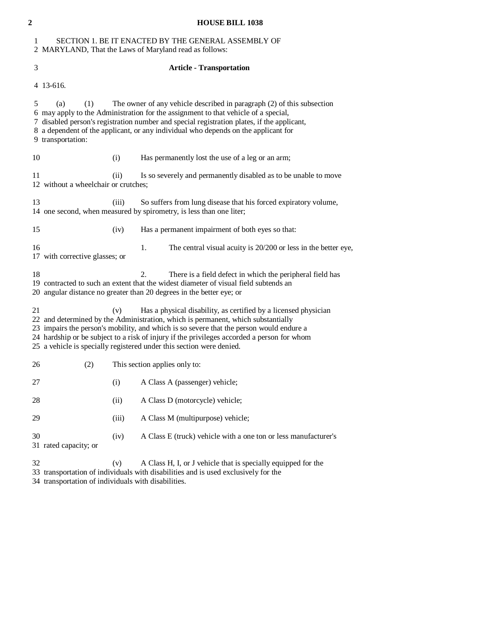| $\mathbf{2}$ | <b>HOUSE BILL 1038</b>                                                                                                                                                                                                                                                                                                                                                                                                      |                |                                                                                                                                                                                                                                 |
|--------------|-----------------------------------------------------------------------------------------------------------------------------------------------------------------------------------------------------------------------------------------------------------------------------------------------------------------------------------------------------------------------------------------------------------------------------|----------------|---------------------------------------------------------------------------------------------------------------------------------------------------------------------------------------------------------------------------------|
| 1            | SECTION 1. BE IT ENACTED BY THE GENERAL ASSEMBLY OF<br>2 MARYLAND, That the Laws of Maryland read as follows:                                                                                                                                                                                                                                                                                                               |                |                                                                                                                                                                                                                                 |
| 3            | <b>Article - Transportation</b>                                                                                                                                                                                                                                                                                                                                                                                             |                |                                                                                                                                                                                                                                 |
|              | 4 13-616.                                                                                                                                                                                                                                                                                                                                                                                                                   |                |                                                                                                                                                                                                                                 |
| 5            | The owner of any vehicle described in paragraph $(2)$ of this subsection<br>(a)<br>(1)<br>6 may apply to the Administration for the assignment to that vehicle of a special,<br>7 disabled person's registration number and special registration plates, if the applicant,<br>8 a dependent of the applicant, or any individual who depends on the applicant for<br>9 transportation:                                       |                |                                                                                                                                                                                                                                 |
| 10           |                                                                                                                                                                                                                                                                                                                                                                                                                             | (i)            | Has permanently lost the use of a leg or an arm;                                                                                                                                                                                |
| 11           | 12 without a wheelchair or crutches;                                                                                                                                                                                                                                                                                                                                                                                        | (ii)           | Is so severely and permanently disabled as to be unable to move                                                                                                                                                                 |
| 13           |                                                                                                                                                                                                                                                                                                                                                                                                                             | (iii)          | So suffers from lung disease that his forced expiratory volume,<br>14 one second, when measured by spirometry, is less than one liter;                                                                                          |
| 15           |                                                                                                                                                                                                                                                                                                                                                                                                                             | (iv)           | Has a permanent impairment of both eyes so that:                                                                                                                                                                                |
| 16           | 17 with corrective glasses; or                                                                                                                                                                                                                                                                                                                                                                                              |                | The central visual acuity is 20/200 or less in the better eye,<br>1.                                                                                                                                                            |
| 18           |                                                                                                                                                                                                                                                                                                                                                                                                                             |                | 2.<br>There is a field defect in which the peripheral field has<br>19 contracted to such an extent that the widest diameter of visual field subtends an<br>20 angular distance no greater than 20 degrees in the better eye; or |
| 21           | Has a physical disability, as certified by a licensed physician<br>(v)<br>22 and determined by the Administration, which is permanent, which substantially<br>23 impairs the person's mobility, and which is so severe that the person would endure a<br>24 hardship or be subject to a risk of injury if the privileges accorded a person for whom<br>25 a vehicle is specially registered under this section were denied. |                |                                                                                                                                                                                                                                 |
| 26           | (2)                                                                                                                                                                                                                                                                                                                                                                                                                         |                | This section applies only to:                                                                                                                                                                                                   |
| 27           |                                                                                                                                                                                                                                                                                                                                                                                                                             | (i)            | A Class A (passenger) vehicle;                                                                                                                                                                                                  |
| 28           |                                                                                                                                                                                                                                                                                                                                                                                                                             | (ii)           | A Class D (motorcycle) vehicle;                                                                                                                                                                                                 |
| 29           |                                                                                                                                                                                                                                                                                                                                                                                                                             | (iii)          | A Class M (multipurpose) vehicle;                                                                                                                                                                                               |
| 30           | 31 rated capacity; or                                                                                                                                                                                                                                                                                                                                                                                                       | (iv)           | A Class E (truck) vehicle with a one ton or less manufacturer's                                                                                                                                                                 |
| 22           |                                                                                                                                                                                                                                                                                                                                                                                                                             | $(\mathbf{r})$ | A Close H, L or Lychicle that is specially equipped for the                                                                                                                                                                     |

- 32 (v) A Class H, I, or J vehicle that is specially equipped for the
- 33 transportation of individuals with disabilities and is used exclusively for the
- 34 transportation of individuals with disabilities.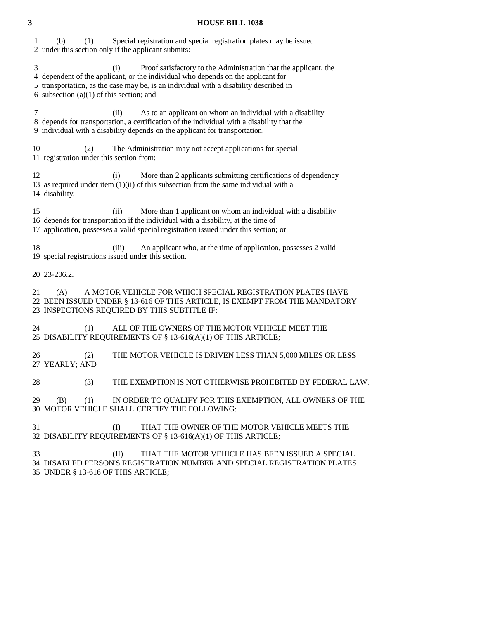#### **3 HOUSE BILL 1038**

 1 (b) (1) Special registration and special registration plates may be issued 2 under this section only if the applicant submits: 3 (i) Proof satisfactory to the Administration that the applicant, the 4 dependent of the applicant, or the individual who depends on the applicant for 5 transportation, as the case may be, is an individual with a disability described in 6 subsection  $(a)(1)$  of this section; and 7 (ii) As to an applicant on whom an individual with a disability 8 depends for transportation, a certification of the individual with a disability that the 9 individual with a disability depends on the applicant for transportation. 10 (2) The Administration may not accept applications for special 11 registration under this section from: 12 (i) More than 2 applicants submitting certifications of dependency 13 as required under item (1)(ii) of this subsection from the same individual with a 14 disability; 15 (ii) More than 1 applicant on whom an individual with a disability 16 depends for transportation if the individual with a disability, at the time of 17 application, possesses a valid special registration issued under this section; or 18 (iii) An applicant who, at the time of application, possesses 2 valid 19 special registrations issued under this section. 20 23-206.2. 21 (A) A MOTOR VEHICLE FOR WHICH SPECIAL REGISTRATION PLATES HAVE 22 BEEN ISSUED UNDER § 13-616 OF THIS ARTICLE, IS EXEMPT FROM THE MANDATORY 23 INSPECTIONS REQUIRED BY THIS SUBTITLE IF: 24 (1) ALL OF THE OWNERS OF THE MOTOR VEHICLE MEET THE 25 DISABILITY REQUIREMENTS OF § 13-616(A)(1) OF THIS ARTICLE; 26 (2) THE MOTOR VEHICLE IS DRIVEN LESS THAN 5,000 MILES OR LESS 27 YEARLY; AND 28 (3) THE EXEMPTION IS NOT OTHERWISE PROHIBITED BY FEDERAL LAW. 29 (B) (1) IN ORDER TO QUALIFY FOR THIS EXEMPTION, ALL OWNERS OF THE 30 MOTOR VEHICLE SHALL CERTIFY THE FOLLOWING: 31 (I) THAT THE OWNER OF THE MOTOR VEHICLE MEETS THE 32 DISABILITY REQUIREMENTS OF § 13-616(A)(1) OF THIS ARTICLE; 33 (II) THAT THE MOTOR VEHICLE HAS BEEN ISSUED A SPECIAL 34 DISABLED PERSON'S REGISTRATION NUMBER AND SPECIAL REGISTRATION PLATES 35 UNDER § 13-616 OF THIS ARTICLE;